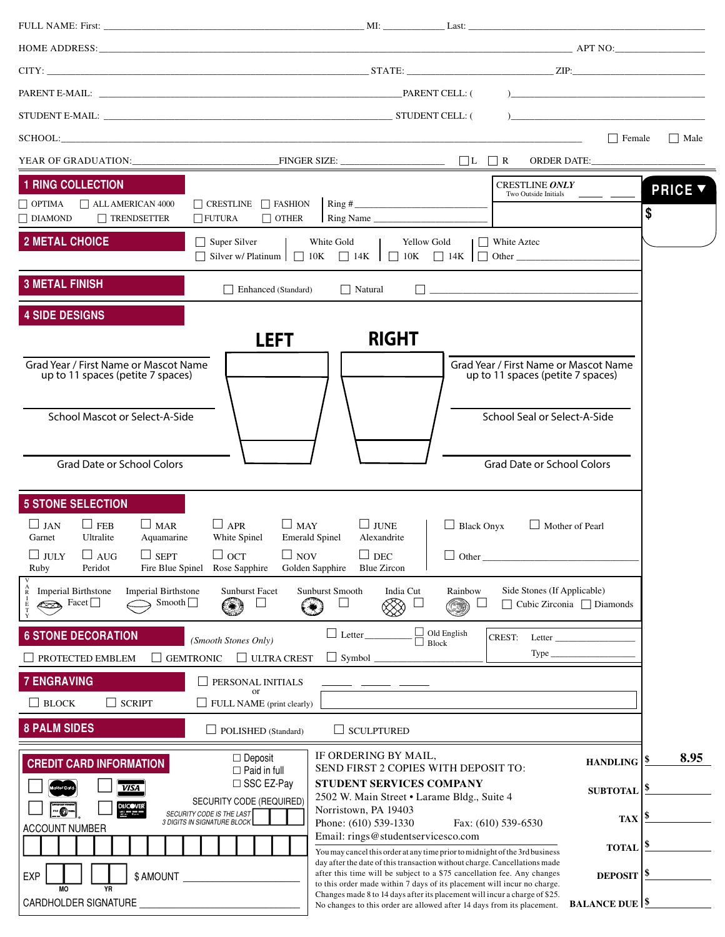|                                                                                                                                                                                                                                   |                                                                                                                                                                                                                                 | ) and the contract of the contract of $\mathcal{L}$ and $\mathcal{L}$ and $\mathcal{L}$ and $\mathcal{L}$                                                                                                                       |
|-----------------------------------------------------------------------------------------------------------------------------------------------------------------------------------------------------------------------------------|---------------------------------------------------------------------------------------------------------------------------------------------------------------------------------------------------------------------------------|---------------------------------------------------------------------------------------------------------------------------------------------------------------------------------------------------------------------------------|
|                                                                                                                                                                                                                                   |                                                                                                                                                                                                                                 |                                                                                                                                                                                                                                 |
| SCHOOL: SCHOOL:                                                                                                                                                                                                                   |                                                                                                                                                                                                                                 | Female<br>    Male                                                                                                                                                                                                              |
|                                                                                                                                                                                                                                   |                                                                                                                                                                                                                                 | ORDER DATE:                                                                                                                                                                                                                     |
| <b>1 RING COLLECTION</b>                                                                                                                                                                                                          |                                                                                                                                                                                                                                 | <b>CRESTLINE ONLY</b><br><b>PRICE V</b><br>Two Outside Initials                                                                                                                                                                 |
| $\Box$ CRESTLINE $\Box$ FASHION<br>$\Box$ OPTIMA<br>$\Box$ ALL AMERICAN 4000<br>$\Box$ TRENDSETTER<br>$\Box$ DIAMOND<br>$\Box$ FUTURA                                                                                             | $\Box$ OTHER<br>Ring Name                                                                                                                                                                                                       | \$                                                                                                                                                                                                                              |
| <b>2 METAL CHOICE</b><br>$\Box$ Super Silver                                                                                                                                                                                      | White Gold<br><b>Yellow Gold</b><br>White Aztec<br>$\Box$ Silver w/ Platinum $\Box$ 10K $\Box$ 14K $\Box$ 10K $\Box$ 14K $\Box$ Other                                                                                           |                                                                                                                                                                                                                                 |
| <b>3 METAL FINISH</b><br>Enhanced (Standard)                                                                                                                                                                                      | $\Box$ Natural                                                                                                                                                                                                                  | $\Box$ and the set of the set of the set of the set of the set of the set of the set of the set of the set of the set of the set of the set of the set of the set of the set of the set of the set of the set of the set of the |
| <b>4 SIDE DESIGNS</b>                                                                                                                                                                                                             |                                                                                                                                                                                                                                 |                                                                                                                                                                                                                                 |
| <b>LEFT</b>                                                                                                                                                                                                                       | <b>RIGHT</b>                                                                                                                                                                                                                    |                                                                                                                                                                                                                                 |
| Grad Year / First Name or Mascot Name<br>up to 11 spaces (petite 7 spaces)                                                                                                                                                        |                                                                                                                                                                                                                                 | Grad Year / First Name or Mascot Name<br>up to 11 spaces (petite 7 spaces)                                                                                                                                                      |
| <b>School Mascot or Select-A-Side</b>                                                                                                                                                                                             |                                                                                                                                                                                                                                 | School Seal or Select-A-Side                                                                                                                                                                                                    |
| <b>Grad Date or School Colors</b>                                                                                                                                                                                                 |                                                                                                                                                                                                                                 | <b>Grad Date or School Colors</b>                                                                                                                                                                                               |
| <b>5 STONE SELECTION</b>                                                                                                                                                                                                          |                                                                                                                                                                                                                                 |                                                                                                                                                                                                                                 |
| $\Box$ JAN<br>$\Box$ FEB<br>$\Box$ APR<br>$\Box$ MAR<br>Ultralite<br>Aquamarine<br>White Spinel<br>Garnet                                                                                                                         | $\Box$ MAY<br>$\Box$ JUNE<br>$\Box$ Black Onyx<br><b>Emerald Spinel</b><br>Alexandrite                                                                                                                                          | $\Box$ Mother of Pearl                                                                                                                                                                                                          |
| $\Box$ oct<br>$\Box$ JULY<br>$\Box$ AUG<br>$\Box$ SEPT<br>Rose Sapphire<br>Ruby<br>Peridot<br>Fire Blue Spinel                                                                                                                    | $\Box$ NOV<br>$\Box$ DEC<br>Other_<br>Golden Sapphire<br><b>Blue Zircon</b>                                                                                                                                                     |                                                                                                                                                                                                                                 |
| $_{\rm R}^{\rm A}$<br><b>Imperial Birthstone</b><br><b>Imperial Birthstone</b><br><b>Sunburst Facet</b><br>Smooth $\Box$<br>$\Gamma$ Facet<br>∞<br>E<br>T                                                                         | Sunburst Smooth<br>India Cut<br>Rainbow                                                                                                                                                                                         | Side Stones (If Applicable)<br>□ Cubic Zirconia □ Diamonds                                                                                                                                                                      |
| <b>6 STONE DECORATION</b><br>(Smooth Stones Only)                                                                                                                                                                                 | $\Box$ Old English<br>$\Box$ Letter<br><b>CREST:</b><br>$\Box$ Block                                                                                                                                                            | Letter $\overline{\phantom{a}}$                                                                                                                                                                                                 |
| $\Box$ ULTRA CREST<br>PROTECTED EMBLEM<br><b>GEMTRONIC</b>                                                                                                                                                                        | $\Box$ Symbol $\Box$                                                                                                                                                                                                            | $Type$ <sub>____</sub>                                                                                                                                                                                                          |
| <b>7 ENGRAVING</b><br>PERSONAL INITIALS<br>or                                                                                                                                                                                     |                                                                                                                                                                                                                                 |                                                                                                                                                                                                                                 |
| $\Box$ SCRIPT<br>$\Box$ BLOCK<br>FULL NAME (print clearly)                                                                                                                                                                        |                                                                                                                                                                                                                                 |                                                                                                                                                                                                                                 |
| <b>8 PALM SIDES</b><br>POLISHED (Standard)                                                                                                                                                                                        | $\Box$ SCULPTURED                                                                                                                                                                                                               |                                                                                                                                                                                                                                 |
| $\Box$ Deposit<br><b>CREDIT CARD INFORMATION</b><br>$\Box$ Paid in full                                                                                                                                                           | IF ORDERING BY MAIL,<br>SEND FIRST 2 COPIES WITH DEPOSIT TO:                                                                                                                                                                    | 8.95<br><b>HANDLING</b>                                                                                                                                                                                                         |
| □ SSC EZ-Pay<br>STUDENT SERVICES COMPANY<br><b>VISA</b><br><b>SUBTOTAL</b><br>2502 W. Main Street • Larame Bldg., Suite 4                                                                                                         |                                                                                                                                                                                                                                 |                                                                                                                                                                                                                                 |
| SECURITY CODE (REQUIRED)<br>DIJCOVER <sup>®</sup><br>Norristown, PA 19403<br>o<br>SECURITY CODE IS THE LAST<br><b>TAX</b><br>3 DIGITS IN SIGNATURE BLOCK<br>Phone: (610) 539-1330<br>Fax: (610) 539-6530<br><b>ACCOUNT NUMBER</b> |                                                                                                                                                                                                                                 |                                                                                                                                                                                                                                 |
|                                                                                                                                                                                                                                   | Email: rings@studentservicesco.com<br>You may cancel this order at any time prior to midnight of the 3rd business                                                                                                               | <b>TOTAL</b>                                                                                                                                                                                                                    |
| \$ AMOUNT<br><b>EXP</b>                                                                                                                                                                                                           | day after the date of this transaction without charge. Cancellations made<br>after this time will be subject to a \$75 cancellation fee. Any changes<br>to this order made within 7 days of its placement will incur no charge. | <b>DEPOSIT</b> $\frac{8}{5}$                                                                                                                                                                                                    |
| CARDHOLDER SIGNATURE                                                                                                                                                                                                              | Changes made 8 to 14 days after its placement will incur a charge of \$25.<br>No changes to this order are allowed after 14 days from its placement.                                                                            | <b>BALANCE DUE</b>   \$                                                                                                                                                                                                         |